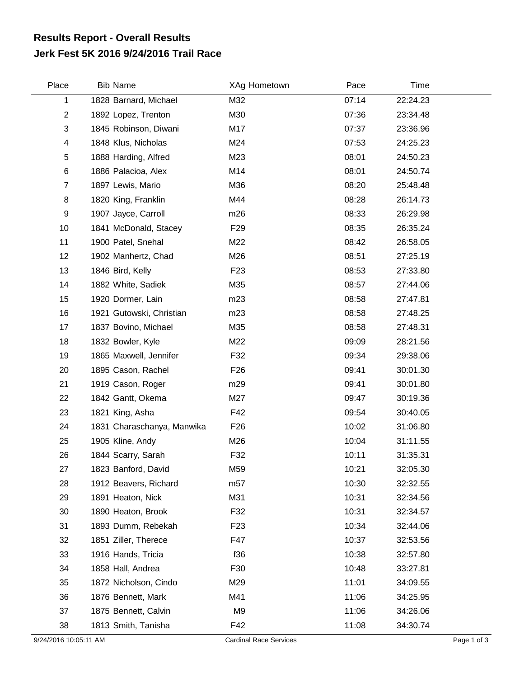## **Jerk Fest 5K 2016 9/24/2016 Trail Race Results Report - Overall Results**

| Place          | <b>Bib Name</b>            | XAg Hometown    | Pace  | Time     |
|----------------|----------------------------|-----------------|-------|----------|
| 1              | 1828 Barnard, Michael      | M32             | 07:14 | 22:24.23 |
| $\overline{c}$ | 1892 Lopez, Trenton        | M30             | 07:36 | 23:34.48 |
| 3              | 1845 Robinson, Diwani      | M17             | 07:37 | 23:36.96 |
| 4              | 1848 Klus, Nicholas        | M24             | 07:53 | 24:25.23 |
| 5              | 1888 Harding, Alfred       | M23             | 08:01 | 24:50.23 |
| 6              | 1886 Palacioa, Alex        | M14             | 08:01 | 24:50.74 |
| $\overline{7}$ | 1897 Lewis, Mario          | M36             | 08:20 | 25:48.48 |
| 8              | 1820 King, Franklin        | M44             | 08:28 | 26:14.73 |
| 9              | 1907 Jayce, Carroll        | m26             | 08:33 | 26:29.98 |
| 10             | 1841 McDonald, Stacey      | F <sub>29</sub> | 08:35 | 26:35.24 |
| 11             | 1900 Patel, Snehal         | M22             | 08:42 | 26:58.05 |
| 12             | 1902 Manhertz, Chad        | M26             | 08:51 | 27:25.19 |
| 13             | 1846 Bird, Kelly           | F <sub>23</sub> | 08:53 | 27:33.80 |
| 14             | 1882 White, Sadiek         | M35             | 08:57 | 27:44.06 |
| 15             | 1920 Dormer, Lain          | m23             | 08:58 | 27:47.81 |
| 16             | 1921 Gutowski, Christian   | m23             | 08:58 | 27:48.25 |
| 17             | 1837 Bovino, Michael       | M35             | 08:58 | 27:48.31 |
| 18             | 1832 Bowler, Kyle          | M22             | 09:09 | 28:21.56 |
| 19             | 1865 Maxwell, Jennifer     | F32             | 09:34 | 29:38.06 |
| 20             | 1895 Cason, Rachel         | F <sub>26</sub> | 09:41 | 30:01.30 |
| 21             | 1919 Cason, Roger          | m29             | 09:41 | 30:01.80 |
| 22             | 1842 Gantt, Okema          | M27             | 09:47 | 30:19.36 |
| 23             | 1821 King, Asha            | F42             | 09:54 | 30:40.05 |
| 24             | 1831 Charaschanya, Manwika | F <sub>26</sub> | 10:02 | 31:06.80 |
| 25             | 1905 Kline, Andy           | M26             | 10:04 | 31:11.55 |
| 26             | 1844 Scarry, Sarah         | F32             | 10:11 | 31:35.31 |
| 27             | 1823 Banford, David        | M59             | 10:21 | 32:05.30 |
| 28             | 1912 Beavers, Richard      | m <sub>57</sub> | 10:30 | 32:32.55 |
| 29             | 1891 Heaton, Nick          | M31             | 10:31 | 32:34.56 |
| 30             | 1890 Heaton, Brook         | F32             | 10:31 | 32:34.57 |
| 31             | 1893 Dumm, Rebekah         | F <sub>23</sub> | 10:34 | 32:44.06 |
| 32             | 1851 Ziller, Therece       | F47             | 10:37 | 32:53.56 |
| 33             | 1916 Hands, Tricia         | f36             | 10:38 | 32:57.80 |
| 34             | 1858 Hall, Andrea          | F30             | 10:48 | 33:27.81 |
| 35             | 1872 Nicholson, Cindo      | M29             | 11:01 | 34:09.55 |
| 36             | 1876 Bennett, Mark         | M41             | 11:06 | 34:25.95 |
| 37             | 1875 Bennett, Calvin       | M9              | 11:06 | 34:26.06 |
| 38             | 1813 Smith, Tanisha        | F42             | 11:08 | 34:30.74 |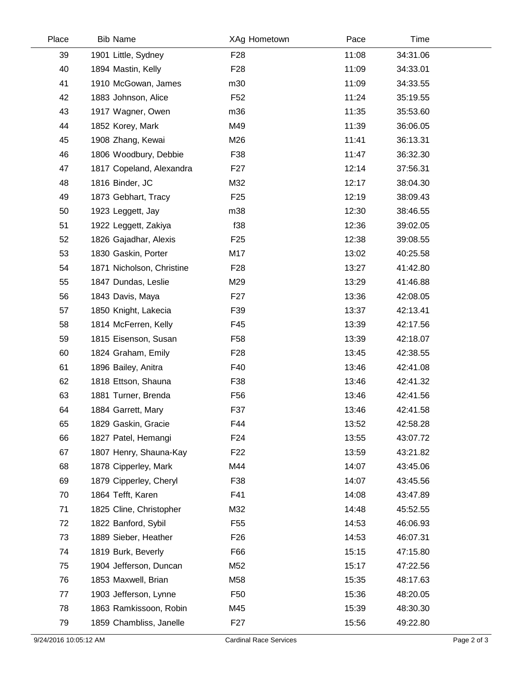| Place | <b>Bib Name</b>           | XAg Hometown    | Pace  | Time     |
|-------|---------------------------|-----------------|-------|----------|
| 39    | 1901 Little, Sydney       | F <sub>28</sub> | 11:08 | 34:31.06 |
| 40    | 1894 Mastin, Kelly        | F <sub>28</sub> | 11:09 | 34:33.01 |
| 41    | 1910 McGowan, James       | m30             | 11:09 | 34:33.55 |
| 42    | 1883 Johnson, Alice       | F <sub>52</sub> | 11:24 | 35:19.55 |
| 43    | 1917 Wagner, Owen         | m36             | 11:35 | 35:53.60 |
| 44    | 1852 Korey, Mark          | M49             | 11:39 | 36:06.05 |
| 45    | 1908 Zhang, Kewai         | M26             | 11:41 | 36:13.31 |
| 46    | 1806 Woodbury, Debbie     | F38             | 11:47 | 36:32.30 |
| 47    | 1817 Copeland, Alexandra  | F <sub>27</sub> | 12:14 | 37:56.31 |
| 48    | 1816 Binder, JC           | M32             | 12:17 | 38:04.30 |
| 49    | 1873 Gebhart, Tracy       | F <sub>25</sub> | 12:19 | 38:09.43 |
| 50    | 1923 Leggett, Jay         | m38             | 12:30 | 38:46.55 |
| 51    | 1922 Leggett, Zakiya      | f38             | 12:36 | 39:02.05 |
| 52    | 1826 Gajadhar, Alexis     | F <sub>25</sub> | 12:38 | 39:08.55 |
| 53    | 1830 Gaskin, Porter       | M17             | 13:02 | 40:25.58 |
| 54    | 1871 Nicholson, Christine | F <sub>28</sub> | 13:27 | 41:42.80 |
| 55    | 1847 Dundas, Leslie       | M29             | 13:29 | 41:46.88 |
| 56    | 1843 Davis, Maya          | F <sub>27</sub> | 13:36 | 42:08.05 |
| 57    | 1850 Knight, Lakecia      | F39             | 13:37 | 42:13.41 |
| 58    | 1814 McFerren, Kelly      | F45             | 13:39 | 42:17.56 |
| 59    | 1815 Eisenson, Susan      | F <sub>58</sub> | 13:39 | 42:18.07 |
| 60    | 1824 Graham, Emily        | F <sub>28</sub> | 13:45 | 42:38.55 |
| 61    | 1896 Bailey, Anitra       | F40             | 13:46 | 42:41.08 |
| 62    | 1818 Ettson, Shauna       | F38             | 13:46 | 42:41.32 |
| 63    | 1881 Turner, Brenda       | F <sub>56</sub> | 13:46 | 42:41.56 |
| 64    | 1884 Garrett, Mary        | F37             | 13:46 | 42:41.58 |
| 65    | 1829 Gaskin, Gracie       | F44             | 13:52 | 42:58.28 |
| 66    | 1827 Patel, Hemangi       | F <sub>24</sub> | 13:55 | 43:07.72 |
| 67    | 1807 Henry, Shauna-Kay    | F <sub>22</sub> | 13:59 | 43:21.82 |
| 68    | 1878 Cipperley, Mark      | M44             | 14:07 | 43:45.06 |
| 69    | 1879 Cipperley, Cheryl    | F38             | 14:07 | 43:45.56 |
| 70    | 1864 Tefft, Karen         | F41             | 14:08 | 43:47.89 |
| 71    | 1825 Cline, Christopher   | M32             | 14:48 | 45:52.55 |
| 72    | 1822 Banford, Sybil       | F <sub>55</sub> | 14:53 | 46:06.93 |
| 73    | 1889 Sieber, Heather      | F <sub>26</sub> | 14:53 | 46:07.31 |
| 74    | 1819 Burk, Beverly        | F66             | 15:15 | 47:15.80 |
| 75    | 1904 Jefferson, Duncan    | M52             | 15:17 | 47:22.56 |
| 76    | 1853 Maxwell, Brian       | M58             | 15:35 | 48:17.63 |
| 77    | 1903 Jefferson, Lynne     | F <sub>50</sub> | 15:36 | 48:20.05 |
| 78    | 1863 Ramkissoon, Robin    | M45             | 15:39 | 48:30.30 |
| 79    | 1859 Chambliss, Janelle   | F <sub>27</sub> | 15:56 | 49:22.80 |